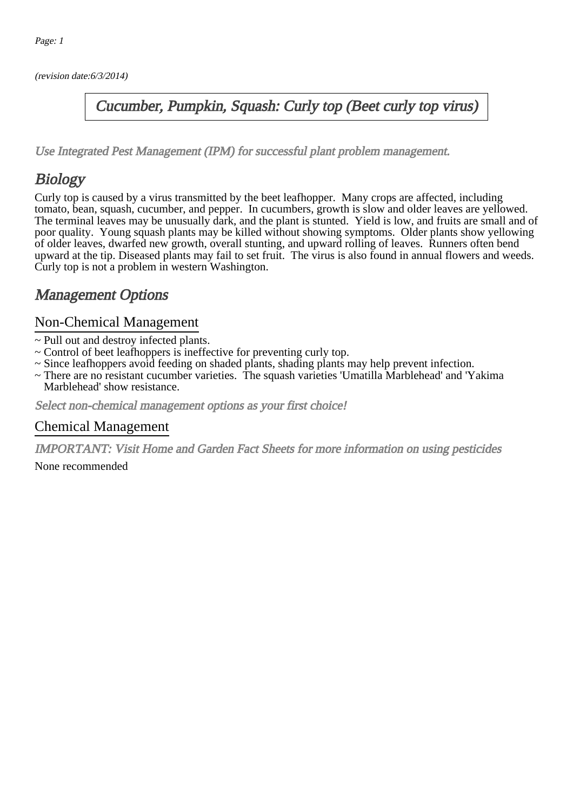(revision date:6/3/2014)

### Cucumber, Pumpkin, Squash: Curly top (Beet curly top virus)

[Use Integrated Pest Management \(IPM\) for successful plant problem management.](http://pep.wsu.edu/Home_Garden/H_G_Pesticide_info/urban_Integrated_Pest_Managmen/)

## **Biology**

Curly top is caused by a virus transmitted by the beet leafhopper. Many crops are affected, including tomato, bean, squash, cucumber, and pepper. In cucumbers, growth is slow and older leaves are yellowed. The terminal leaves may be unusually dark, and the plant is stunted. Yield is low, and fruits are small and of poor quality. Young squash plants may be killed without showing symptoms. Older plants show yellowing of older leaves, dwarfed new growth, overall stunting, and upward rolling of leaves. Runners often bend upward at the tip. Diseased plants may fail to set fruit. The virus is also found in annual flowers and weeds. Curly top is not a problem in western Washington.

## Management Options

#### Non-Chemical Management

- ~ Pull out and destroy infected plants.
- ~ Control of beet leafhoppers is ineffective for preventing curly top.
- ~ Since leafhoppers avoid feeding on shaded plants, shading plants may help prevent infection.
- ~ There are no resistant cucumber varieties. The squash varieties 'Umatilla Marblehead' and 'Yakima Marblehead' show resistance.

Select non-chemical management options as your first choice!

#### Chemical Management

IMPORTANT: [Visit Home and Garden Fact Sheets for more information on using pesticides](http://pep.wsu.edu/Home_Garden/H_G_Pesticide_info/)

None recommended